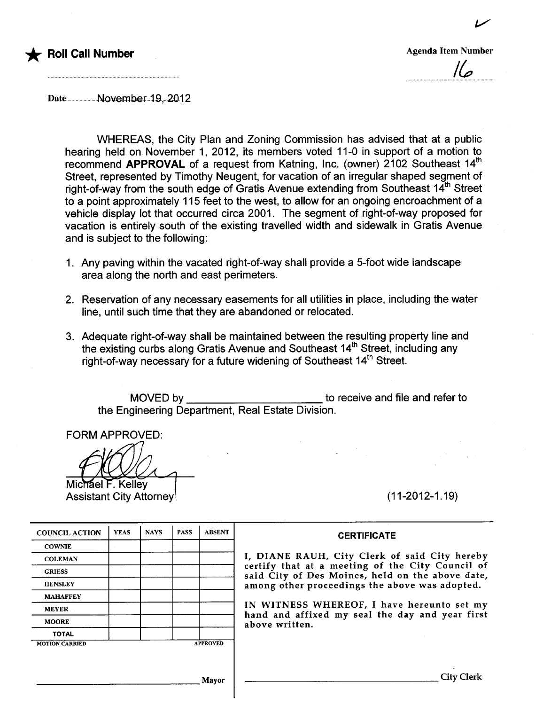

v

 $\mathcal{U}$ p

Date.....................November..19, 2012

WHEREAS, the City Plan and Zoning Commission has advised that at a public hearing held on November 1, 2012, its members voted 11-0 in support of a motion to recommend APPROVAL of a request from Katning, Inc. (owner) 2102 Southeast 14<sup>th</sup> Street, represented by Timothy Neugent, for vacation of an irregular shaped segment of right-of-way from the south edge of Gratis Avenue extending from Southeast  $14<sup>th</sup>$  Street to a point approximately 115 feet to the west, to allow for an ongoing encroachment of a vehicle display lot that occurred circa 2001. The segment of right-of-way proposed for vacation is entirely south of the existing travelled width and sidewalk in Gratis Avenue and is subject to the following:

- 1. Any paving within the vacated right-of-way shall provide a 5-foot wide landscape area along the north and east perimeters.
- 2. Reservation of any necessary easements for all utilities in place, including the water line, until such time that they are abandoned or relocated.
- 3. Adequate right-of-way shall be maintained between the resulting property line and the existing curbs along Gratis Avenue and Southeast 14<sup>th</sup> Street, including any right-of-way necessary for a future widening of Southeast 14<sup>th</sup> Street.

MOVED by to receive and file and refer to the Engineering Department, Real Estate Division.

FORM APPROVED:

Michael F. Kelley Assistant City Attorney **Exercise 2.11-2012-1.19** (11-2012-1.19)

| <b>COUNCIL ACTION</b> | <b>YEAS</b> | <b>NAYS</b> | <b>PASS</b>     | <b>ABSENT</b> |  |
|-----------------------|-------------|-------------|-----------------|---------------|--|
| <b>COWNIE</b>         |             |             |                 |               |  |
| <b>COLEMAN</b>        |             |             |                 |               |  |
| <b>GRIESS</b>         |             |             |                 |               |  |
| <b>HENSLEY</b>        |             |             |                 |               |  |
| <b>MAHAFFEY</b>       |             |             |                 |               |  |
| <b>MEYER</b>          |             |             |                 |               |  |
| <b>MOORE</b>          |             |             |                 |               |  |
| <b>TOTAL</b>          |             |             |                 |               |  |
| <b>MOTION CARRIED</b> |             |             | <b>APPROVED</b> |               |  |

**CERTIFICATE** 

I, DIANE RAUH, City Clerk of said City hereby certify that at a meeting of the City Council of said City of Des Moines, held on the above date, among other proceedings the above was adopted.

IN WITNESS WHEREOF, I have hereunto set my hand and affixed my seal the day and year first above written.

Mayor City Clerk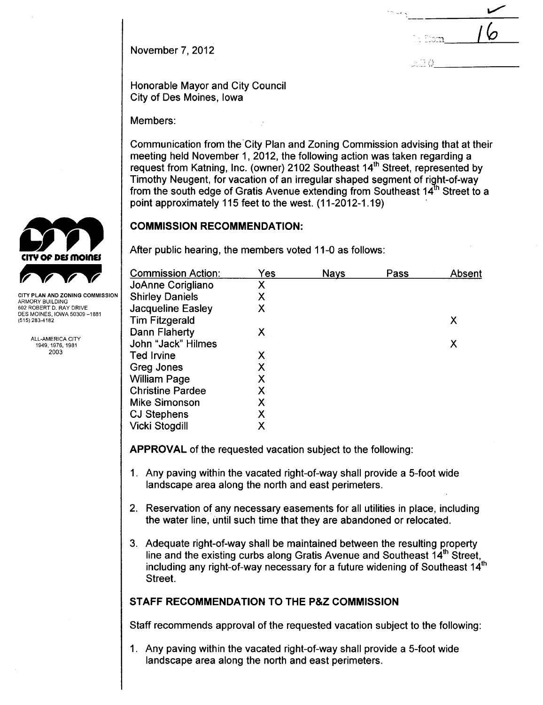November 7,2012

, ~ ~::~:1 I fa

 $\overline{\phantom{0}}$ 

 $>1.1$ 

Honorable Mayor and City Council City of Des Moines, Iowa

Members:

Communication from the'City Plan and Zoning Commission advising that at their meeting held November 1,2012, the following action was taken regarding a request from Katning, Inc. (owner) 2102 Southeast 14<sup>th</sup> Street, represented by Timothy Neugent, for vacation of an irregular shaped segment of right-of-way from the south edge of Gratis Avenue extending from Southeast  $14<sup>th</sup>$  Street to a point approximately 115 feet to the west. (11-2012-1.19)

## COMMISSION RECOMMENDATION:

After public hearing, the members voted 11-0 as follows:

| Yes | <b>Nays</b> | Pass | Absent |
|-----|-------------|------|--------|
| Χ   |             |      |        |
| Χ   |             |      |        |
| Χ   |             |      |        |
|     |             |      | Х      |
| Χ   |             |      |        |
|     |             |      | х      |
| Χ   |             |      |        |
| Χ   |             |      |        |
| Χ   |             |      |        |
| Χ   |             |      |        |
| Χ   |             |      |        |
| Χ   |             |      |        |
| Χ   |             |      |        |
|     |             |      |        |

APPROVAL of the requested vacation subject to the following:

- 1. Any paving within the vacated right-of-way shall provide a 5-foot wide landscape area along the north and east perimeters.
- 2. Reservation of any necessary easements for all utilities in place, including the water line, until such time that they are abandoned or relocated.
- 3. Adequate right-of-way shall be maintained between the resulting property line and the existing curbs along Gratis Avenue and Southeast 14<sup>th</sup> Street, including any right-of-way necessary for a future widening of Southeast  $14<sup>th</sup>$ Street.

# STAFF RECOMMENDATION TO THE P&Z COMMISSION

Staff recommends approval of the requested vacation subject to the following:

1. Any paving within the vacated right-of-way shall provide a 5-foot wide landscape area along the north and east perimeters.



CITY PLAN AND ZONING COMMISSION ARMORY BUILDING 602 ROBERT D, RAY DRIVE DES MOINES, IOWA 50309 -1881 (515) 283-4182

> ALL-AMERICA CITY 1949,1976,1981 2003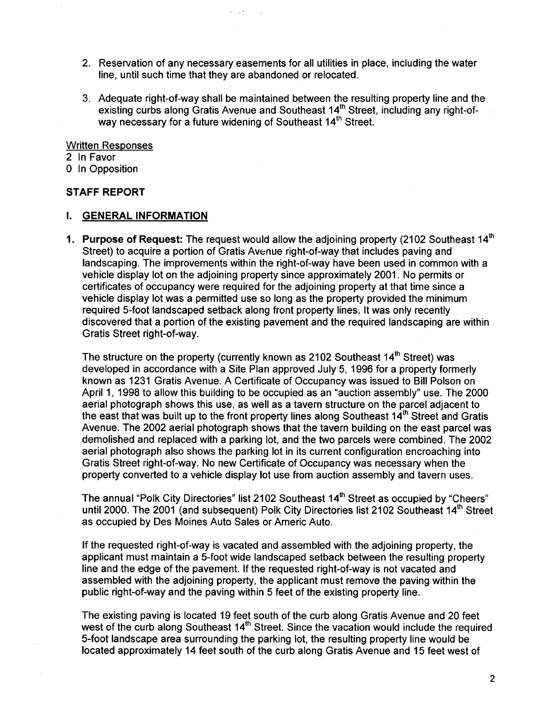2. Reservation of any necessary easements for all utilities in place, including the water line, until such time that they are abandoned or relocated.

 $\epsilon = 1.5^{\circ}$ 

3. Adequate right-of-way shall be maintained between the resulting property line and the existing curbs along Gratis Avenue and Southeast 14<sup>th</sup> Street, including any right-ofway necessary for a future widening of Southeast 14<sup>th</sup> Street.

#### Written Responses

2 In Favor

o In Opposition

#### STAFF REPORT

### i. GENERAL INFORMATION

1. Purpose of Request: The request would allow the adjoining property (2102 Southeast 14<sup>th</sup> Street) to acquire a portion of Gratis Avenue right-of-way that includes paving and landscaping. The improvements within the right-of-way have been used in common with a vehicle display lot on the adjoining property since approximately 2001. No permits or certificates of occupancy were required for the adjoining property at that time since a vehicle display lot was a permitted use so long as the property provided the minimum required 5-foot landscaped setback along front property lines. It was only recently discovered that a portion of the existing pavement and the required landscaping are within Gratis Street right-of-way.

The structure on the property (currently known as 2102 Southeast 14<sup>th</sup> Street) was developed in accordance with a Site Plan approved July 5, 1996 for a property formerly known as 1231 Gratis Avenue. A Certificate of Occupancy was issued to Bill Polson on April 1, 1998 to allow this building to be occupied as an "auction assembly" use. The 2000 aerial photograph shows this use, as well as a tavern structure on the parcel adjacent to the east that was built up to the front property lines along Southeast  $14<sup>th</sup>$  Street and Gratis Avenue. The 2002 aerial photograph shows that the tavern building on the east parcel was demolished and replaced with a parking lot, and the two parcels were combined. The 2002 aerial photograph also shows the parking lot in its current configuration encroaching into Gratis Street right-of-way. No new Certificate of Occupancy was necessary when the property converted to a vehicle display lot use from auction assembly and tavern uses.

The annual "Polk City Directories" list 2102 Southeast 14<sup>th</sup> Street as occupied by "Cheers" until 2000. The 2001 (and subsequent) Polk City Directories list 2102 Southeast 14<sup>th</sup> Street as occupied by Des Moines Auto Sales or Americ Auto.

If the requested right-of-way is vacated and assembled with the adjoining property, the applicant must maintain a 5-foot wide landscaped setback between the resulting property line and the edge of the pavement. If the requested right-of-way is not vacated and assembled with the adjoining property, the applicant must remove the paving within the public right-of-way and the paving within 5 feet of the existing property line.

The existing paving is located 19 feet south of the curb along Gratis Avenue and 20 feet west of the curb along Southeast 14<sup>th</sup> Street. Since the vacation would include the required 5-foot landscape area surrounding the parking lot, the resulting property line would be located approximately 14 feet south of the curb along Gratis Avenue and 15 feet west of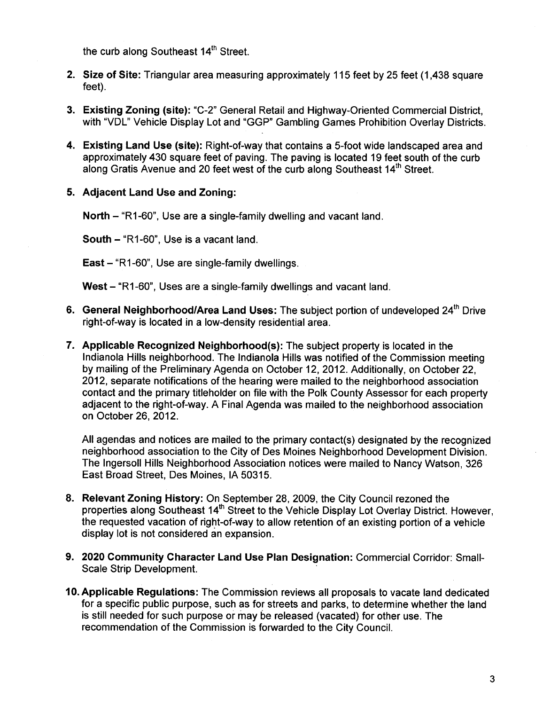the curb along Southeast 14<sup>th</sup> Street.

- 2. Size of Site: Triangular area measuring approximately 115 feet by 25 feet (1,438 square feet).
- 3. Existing Zoning (site): "C-2" General Retail and Highway-Oriented Commercial District, with "VDL" Vehicle Display Lot and "GGP" Gambling Games Prohibition Overlay Districts.
- 4. Existing Land Use (site): Right-of-way that contains a 5-foot wide landscaped area and approximately 430 square feet of paving. The paving is located 19 feet south of the curb along Gratis Avenue and 20 feet west of the curb along Southeast 14<sup>th</sup> Street.
- 5. Adjacent Land Use and Zoning:

North - "R1-60", Use are a single-family dwelling and vacant land.

South - "R1-60", Use is a vacant land.

East  $-$  "R1-60", Use are single-family dwellings.

West - "R1-60", Uses are a single-family dwellings and vacant land.

- 6. General Neighborhood/Area Land Uses: The subject portion of undeveloped 24<sup>th</sup> Drive right-of-way is located in a low-density residential area.
- 7. Applicable Recognized Neighborhood(s): The subject property is located in the Indianola Hills neighborhood. The Indianola Hills was notified of the Commission meeting by mailing of the Preliminary Agenda on October 12, 2012. Additionally, on October 22, 2012, separate notifications of the hearing were mailed to the neighborhood association contact and the primary titleholder on file with the Polk County Assessor for each property adjacent to the right-of-way. A Final Agenda was mailed to the neighborhood association on October 26,2012.

All agendas and notices are mailed to the primary contact(s) designated by the recognized neighborhood association to the City of Des Moines Neighborhood Development Division. The Ingersoll Hills Neighborhood Association notices were mailed to Nancy Watson, 326 East Broad Street, Des Moines, IA 50315.

- 8. Relevant Zoning History: On September 28,2009, the City Council rezoned the properties along Southeast 14<sup>th</sup> Street to the Vehicle Display Lot Overlay District. However, the requested vacation of right-of-way to allow retention of an existing portion of a vehicle display lot is not considered an expansion.
- 9. 2020 Community Character Land Use Plan Designation: Commercial Corridor: Small-Scale Strip Development.
- 10. Applicable Regulations: The Commission reviews all proposals to vacate land dedicated for a specific public purpose, such as for streets and parks, to determine whether the land is still needed for such purpose or may be released (vacated) for other use. The recommendation of the Commission is forwarded to the City CounciL.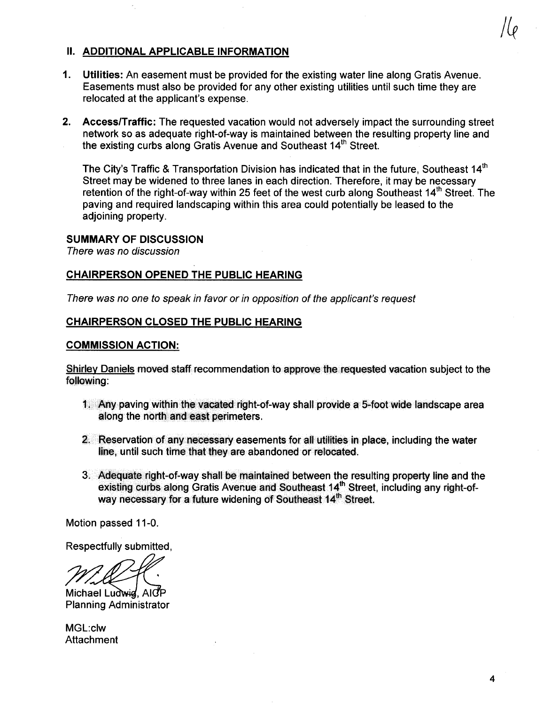# II. ADDITIONAL APPLICABLE INFORMATION

- 1. Utilties: An easement must be provided for the existing water line along Gratis Avenue. Easements must also be provided for any other existing utilities until such time they are relocated at the applicant's expense.
- 2. Access/Traffic: The requested vacation would not adversely impact the surrounding street network so as adequate right-of-way is maintained between the resulting property line and the existing curbs along Gratis Avenue and Southeast 14<sup>th</sup> Street.

The City's Traffic & Transportation Division has indicated that in the future, Southeast 14<sup>th</sup> Street may be widened to three lanes in each direction. Therefore, it may be necessary retention of the right-of-way within 25 feet of the west curb along Southeast 14<sup>th</sup> Street. The paving and required landscaping within this area could potentially be leased to the adjoining property.

## SUMMARY OF DISCUSSION

There was no discussion

## CHAIRPERSON OPENED THE PUBLIC HEARING

There was no one to speak in favor or in opposition of the applicant's request

## CHAIRPERSON CLOSED THE PUBLIC HEARING

## COMMISSION ACTION:

Shirlev Daniels moved staff recommendation to approve the requested vacation subject to the following:

- 1. Any paving within the vacated right-of-way shall provide a 5-foot wide landscape area along the north and east perimeters.
- 2. Reservation of any neæssary easements for all utilties in place, including the water line, until such time that they are abandoned or relocated.
- 3. Adequate right-of-way shall be maintained between the resulting property line and the existing curbs along Gratis Avenue and Southeast 14<sup>th</sup> Street, including any right-ofway necessary for a future widening of Southeast 14<sup>th</sup> Street.

Motion passed 11-0.

Respectfully submitted,

Michael Ludwig, AICP Planning Administrator

MGL:clw **Attachment**  / Le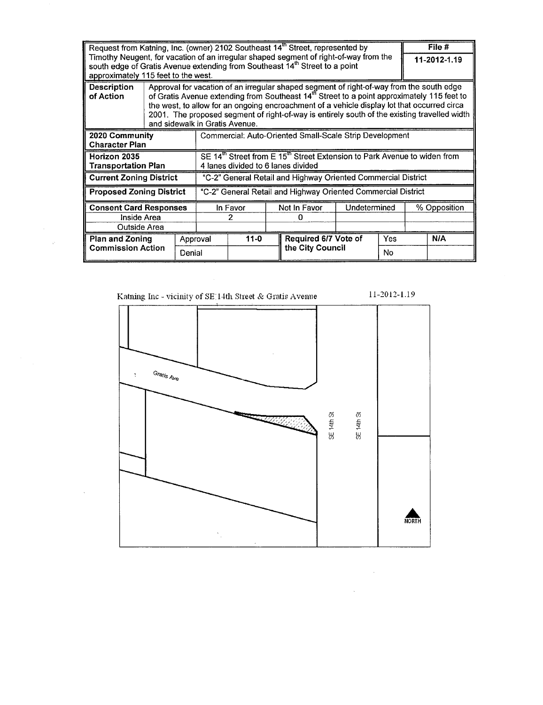| Request from Katning, Inc. (owner) 2102 Southeast 14 <sup>th</sup> Street, represented by                                                                                                                                                                                                                                                                                                                                                                              |                                                                                                                                        |          |  |          |              |                      |              | File #       |  |            |
|------------------------------------------------------------------------------------------------------------------------------------------------------------------------------------------------------------------------------------------------------------------------------------------------------------------------------------------------------------------------------------------------------------------------------------------------------------------------|----------------------------------------------------------------------------------------------------------------------------------------|----------|--|----------|--------------|----------------------|--------------|--------------|--|------------|
| Timothy Neugent, for vacation of an irregular shaped segment of right-of-way from the<br>south edge of Gratis Avenue extending from Southeast 14th Street to a point<br>approximately 115 feet to the west.                                                                                                                                                                                                                                                            |                                                                                                                                        |          |  |          |              |                      | 11-2012-1.19 |              |  |            |
| Approval for vacation of an irregular shaped segment of right-of-way from the south edge<br><b>Description</b><br>of Gratis Avenue extending from Southeast 14 <sup>th</sup> Street to a point approximately 115 feet to<br>of Action<br>the west, to allow for an ongoing encroachment of a vehicle display lot that occurred circa<br>2001. The proposed segment of right-of-way is entirely south of the existing travelled width<br>and sidewalk in Gratis Avenue. |                                                                                                                                        |          |  |          |              |                      |              |              |  |            |
| 2020 Community<br><b>Character Plan</b>                                                                                                                                                                                                                                                                                                                                                                                                                                | Commercial: Auto-Oriented Small-Scale Strip Development                                                                                |          |  |          |              |                      |              |              |  |            |
| Horizon 2035<br>Transportation Plan                                                                                                                                                                                                                                                                                                                                                                                                                                    | SE 14 <sup>th</sup> Street from E 15 <sup>th</sup> Street Extension to Park Avenue to widen from<br>4 lanes divided to 6 lanes divided |          |  |          |              |                      |              |              |  |            |
| <b>Current Zoning District</b>                                                                                                                                                                                                                                                                                                                                                                                                                                         | "C-2" General Retail and Highway Oriented Commercial District                                                                          |          |  |          |              |                      |              |              |  |            |
| "C-2" General Retail and Highway Oriented Commercial District<br><b>Proposed Zoning District</b>                                                                                                                                                                                                                                                                                                                                                                       |                                                                                                                                        |          |  |          |              |                      |              |              |  |            |
| <b>Consent Card Responses</b>                                                                                                                                                                                                                                                                                                                                                                                                                                          |                                                                                                                                        | In Favor |  |          | Not In Favor | Undetermined         |              | % Opposition |  |            |
| Inside Area                                                                                                                                                                                                                                                                                                                                                                                                                                                            |                                                                                                                                        | 2        |  |          | O            |                      |              |              |  |            |
| Outside Area                                                                                                                                                                                                                                                                                                                                                                                                                                                           |                                                                                                                                        |          |  |          |              |                      |              |              |  |            |
| <b>Plan and Zoning</b><br><b>Commission Action</b>                                                                                                                                                                                                                                                                                                                                                                                                                     |                                                                                                                                        | Approval |  | $11 - 0$ |              | Required 6/7 Vote of |              | Yes          |  | <b>N/A</b> |
|                                                                                                                                                                                                                                                                                                                                                                                                                                                                        | Denial                                                                                                                                 |          |  |          |              | the City Council     |              |              |  |            |

 $\sim \omega_{\rm c}$ 



 $\sim 10^{-10}$ 

 $\mathcal{A}^{\pm}$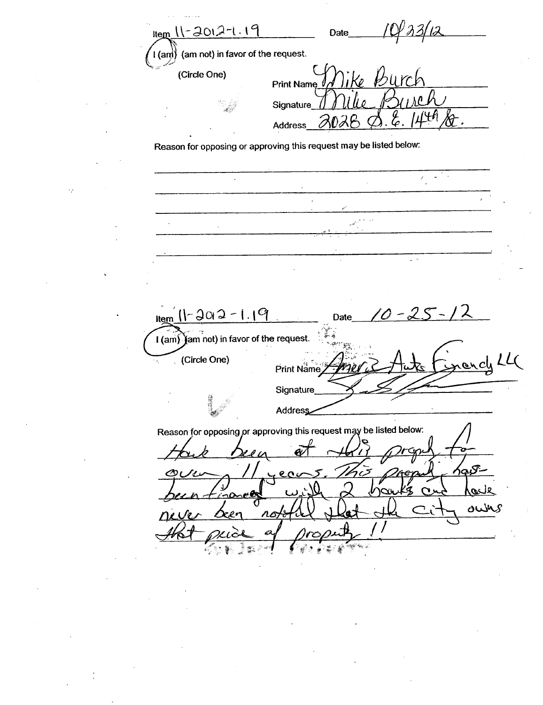Hem 11-2012-1.19 Date (am not) in favor of the request.  $1$  (and) (Circle One) **Print Name Signature** Address Reason for opposing or approving this request may be listed below:  $\hat{\mathcal{L}}$  $\ddot{\phantom{a}}$  $\mathcal{L}_{\mathcal{A}}$  .  $H_{\text{temp}}$   $(1 - 302 - 1.19)$ Date I (am) (am not) in favor of the request. oncle LL (Circle One) Print Name Signature Address Reason for opposing or approving this request may be listed below: Ä بحمكم ec r <u>p</u> حند  $\sqrt{2}$ own  $\boldsymbol{\eta}$